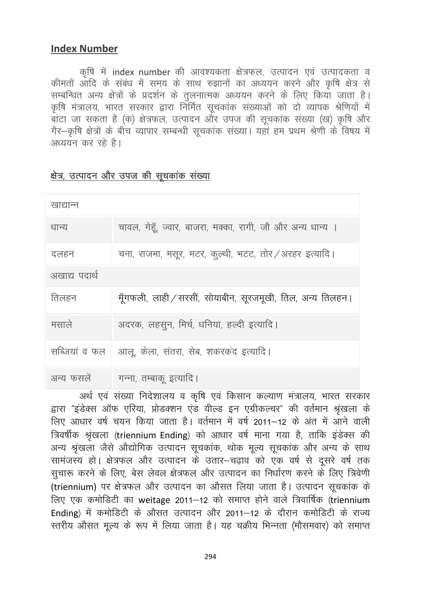## **Index Number**

कृषि में index number की आवश्यकता क्षेत्रफल, उत्पादन एवं उत्पादकता व कीमतों आदि के संबंध में समय के साथ रुझानों का अध्ययन करने और कृषि क्षेत्र से सम्बन्धित अन्य क्षेत्रों के प्रदर्शन के तुलनात्मक अध्ययन करने के लिए किया जाता है। कृषि मंत्रालय, भारत सरकार द्वारा निर्मित सूचकांक संख्याओं को दो व्यापक श्रेणियों में अध्ययन कर रहे है।

| खाद्यान्न     |                                                            |
|---------------|------------------------------------------------------------|
| धान्य         | चावल, गेहूँ, ज्वार, बाजरा, मक्का, रागी, जौ और अन्य धान्य । |
| दलहन          | चना, राजमा, मसूर, मटर, कुल्थी, भटट, तोर / अरहर इत्यादि।    |
| अखाद्य पदार्थ |                                                            |
| तिलहन         | मॅुगफली, लाही ⁄ सरसीं, सोयाबीन, सूरजमूखी, तिल, अन्य तिलहन। |
| मसाले         | अदरक, लहसून, मिर्च, धनिया, हल्दी इत्यादि।                  |
| सब्जियां व फल | आलू, केला, संतरा, सेब, शकरकंद इत्यादि।                     |
| अन्य फसलें    | गन्ना, तम्बाकू इत्यादि।                                    |

## क्षेत्र, उत्पादन और उपज की सूचकांक संख्या

अर्थ एवं संख्या निदेशालय व कृषि एवं किसान कल्याण मंत्रालय, भारत सरकार द्वारा "इंडेक्स ऑफ एरिया, प्रोडक्शन एंड यील्ड इन एग्रीकल्चर" की वर्तमान श्रृंखला के लिए आधार वर्ष चयन किया जाता है। वर्तमान में वर्ष 2011–12 के अंत में आने वाली त्रिवर्षीक श्रृंखला (triennium Ending) को आधार वर्ष माना गया है, ताकि इंडेक्स की अन्य श्रृंखला जैसे औद्योगिक उत्पादन सूचकांक, थोक मूल्य सूचकांक और अन्य के साथ सामंजस्य हो। क्षेत्रफल और उत्पादन के उतार–चढ़ाव को एक वर्ष से दूसरे वर्ष तक सुचारू करने के लिए, बेस लेवल क्षेत्रफल और उत्पादन का निर्धारण करने के लिए त्रिवेणी (triennium) पर क्षेत्रफल और उत्पादन का औसत लिया जाता है। उत्पादन सूचकांक के लिए एक कमोडिटी का weitage 2011–12 को समाप्त होने वाले त्रिवार्षिक (triennium Ending) में कमोडिटी के औसत उत्पादन और 2011-12 के दौरान कमोडिटी के राज्य स्तरीय औसत मूल्य के रूप में लिया जाता है। यह चक्रीय भिन्नता (मौसमवार) को समाप्त